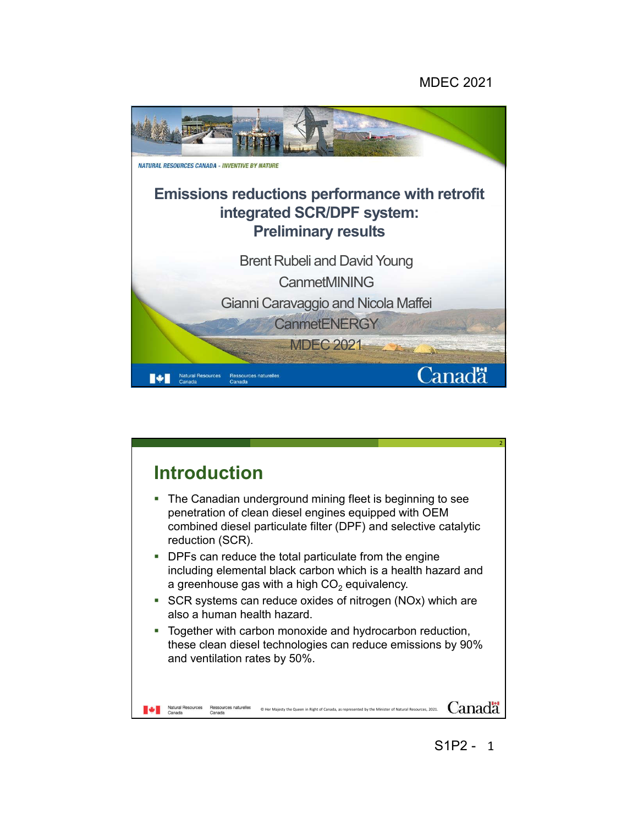## MDEC 2021



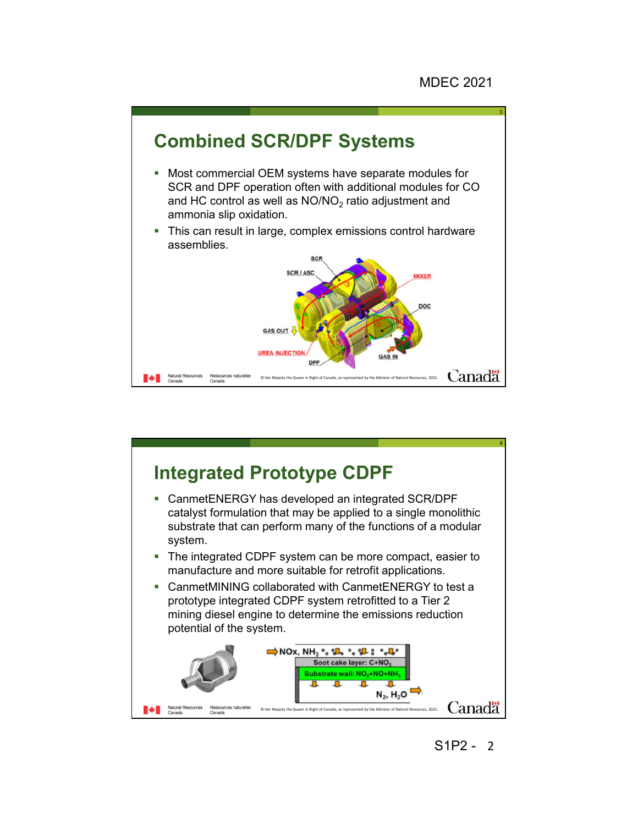



2 S1P2 -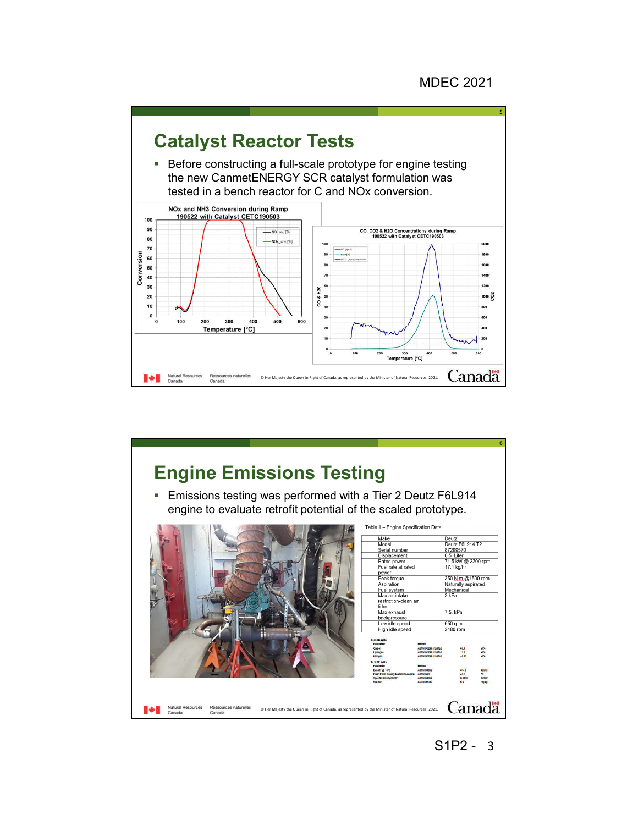

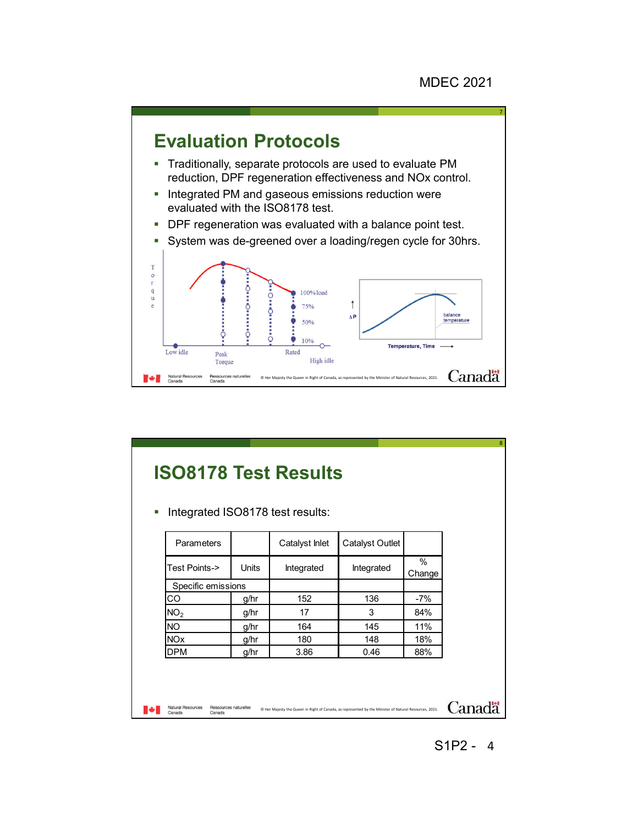

## **ISO8178 Test Results**

**Integrated ISO8178 test results:** 

| Integrated | $\%$<br>Change |  |
|------------|----------------|--|
|            |                |  |
|            |                |  |
| 136        | $-7%$          |  |
| 3          | 84%            |  |
| 145        | 11%            |  |
| 148        | 18%            |  |
| 0.46       | 88%            |  |
|            |                |  |

8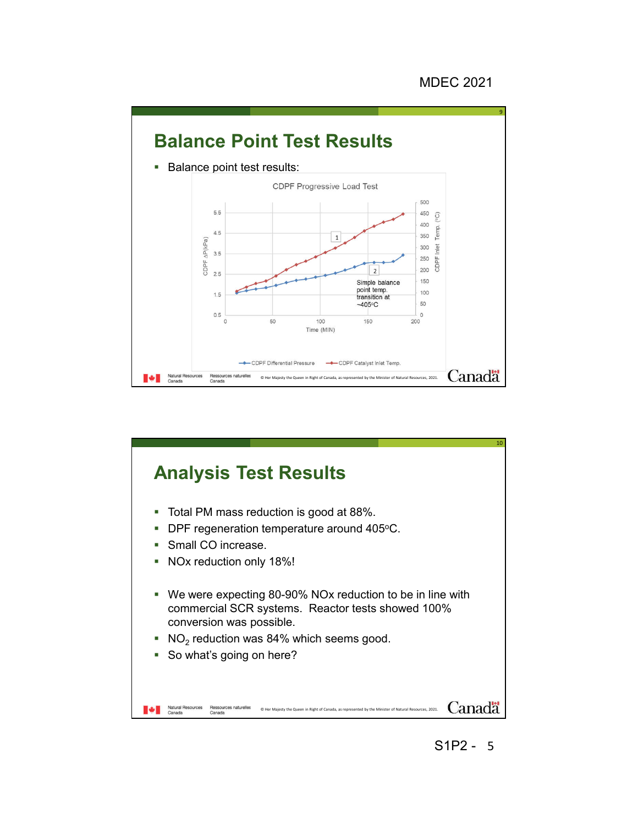

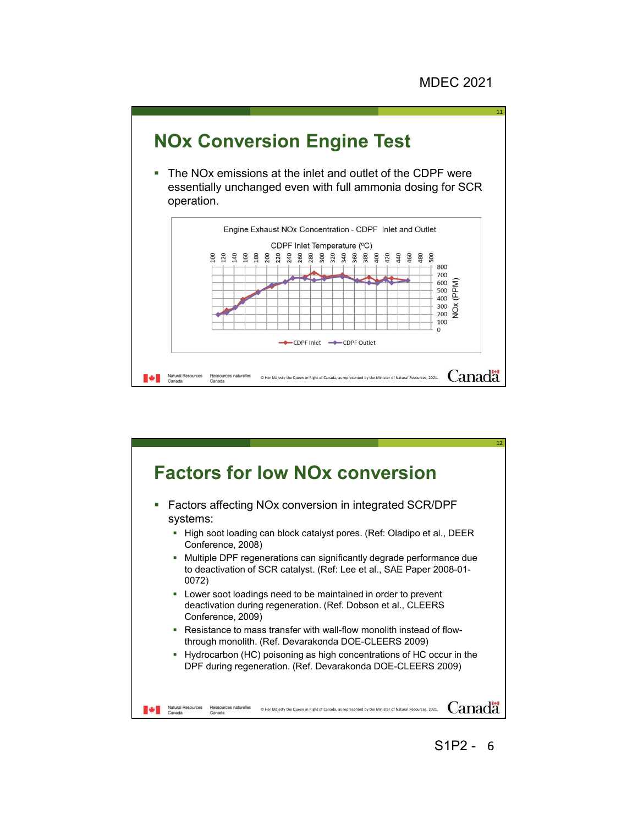11



 The NOx emissions at the inlet and outlet of the CDPF were essentially unchanged even with full ammonia dosing for SCR operation.





6 S1P2 -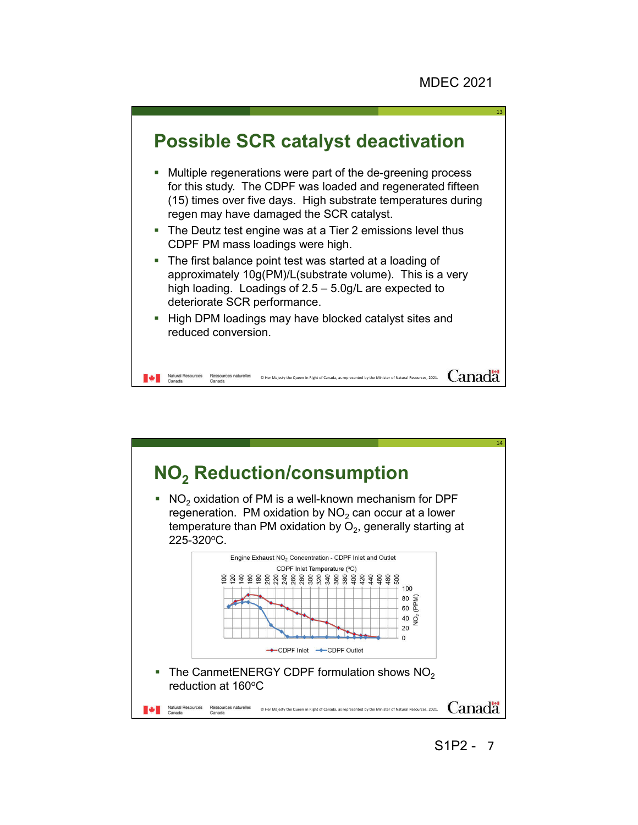

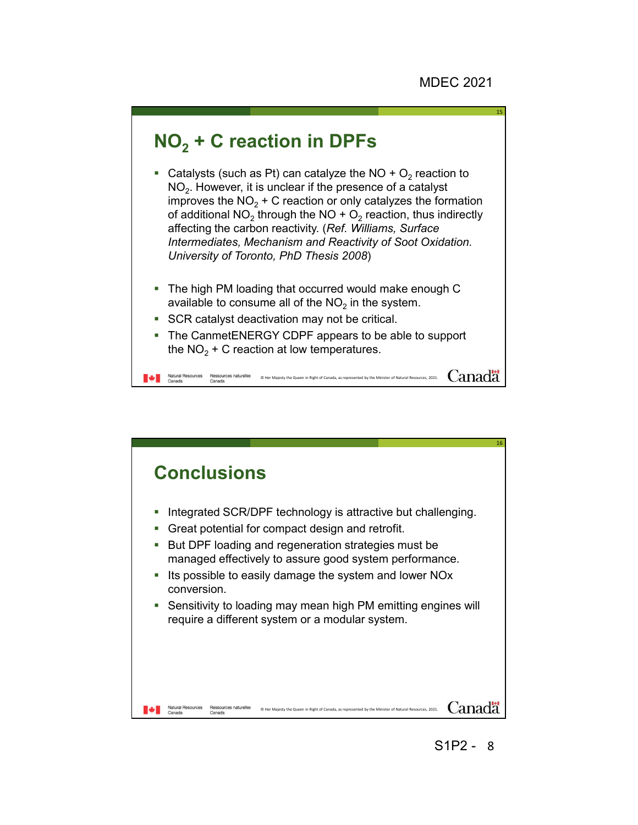15

## **NO2 + C reaction in DPFs**

- Catalysts (such as Pt) can catalyze the NO +  $O<sub>2</sub>$  reaction to  $NO<sub>2</sub>$ . However, it is unclear if the presence of a catalyst improves the  $NO<sub>2</sub> + C$  reaction or only catalyzes the formation of additional NO<sub>2</sub> through the NO +  $O_2$  reaction, thus indirectly affecting the carbon reactivity. (*Ref. Williams, Surface Intermediates, Mechanism and Reactivity of Soot Oxidation. University of Toronto, PhD Thesis 2008*)
- The high PM loading that occurred would make enough C available to consume all of the  $NO<sub>2</sub>$  in the system.
- SCR catalyst deactivation may not be critical.
- The CanmetENERGY CDPF appears to be able to support the  $NO<sub>2</sub> + C$  reaction at low temperatures.

Natural Resources Ressources naturelles o Her Majesty the Queen in Right of Canada, as represented by the Minister of Natural Resources, 2021. Canada